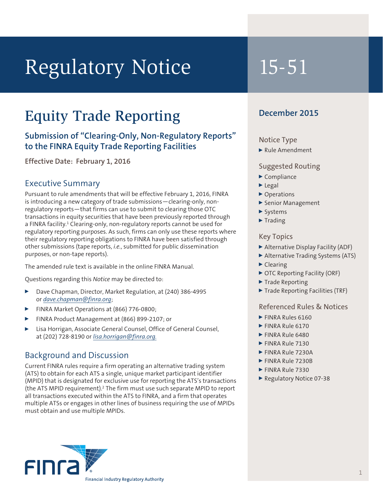# Regulatory Notice 15-51

## Equity Trade Reporting

### **Submission of "Clearing-Only, Non-Regulatory Reports" to the FINRA Equity Trade Reporting Facilities**

**Effective Date: February 1, 2016**

#### Executive Summary

Pursuant to rule amendments that will be effective February 1, 2016, FINRA is introducing a new category of trade submissions—clearing-only, nonregulatory reports—that firms can use to submit to clearing those OTC transactions in equity securities that have been previously reported through a FINRA facility.<sup>1</sup> Clearing-only, non-regulatory reports cannot be used for regulatory reporting purposes. As such, firms can only use these reports where their regulatory reporting obligations to FINRA have been satisfied through other submissions (tape reports, *i.e.*, submitted for public dissemination purposes, or non-tape reports).

The amended rule text is available in the online FINRA Manual.

Questions regarding this *Notice* may be directed to:

- <sup>0</sup> Dave Chapman, Director, Market Regulation, at (240) 386-4995 or *dave.chapman@finra.org*;
- <sup>0</sup> FINRA Market Operations at (866) 776-0800;
- <sup>0</sup> FINRA Product Management at (866) 899-2107; or
- Lisa Horrigan, Associate General Counsel, Office of General Counsel, at (202) 728-8190 or *lisa.horrigan@finra.org.*

#### Background and Discussion

Current FINRA rules require a firm operating an alternative trading system (ATS) to obtain for each ATS a single, unique market participant identifier (MPID) that is designated for exclusive use for reporting the ATS's transactions (the ATS MPID requirement).<sup>2</sup> The firm must use such separate MPID to report all transactions executed within the ATS to FINRA, and a firm that operates multiple ATSs or engages in other lines of business requiring the use of MPIDs must obtain and use multiple MPIDs.

#### **December 2015**

#### Notice Type

Rule Amendment

#### Suggested Routing

- $\blacktriangleright$  Compliance
- $\blacktriangleright$  Legal
- ▶ Operations
- <sup>0</sup> Senior Management
- $\blacktriangleright$  Systems
- $\blacktriangleright$  Trading

#### Key Topics

- ▶ Alternative Display Facility (ADF)
- ▶ Alternative Trading Systems (ATS)
- $\blacktriangleright$  Clearing
- ▶ OTC Reporting Facility (ORF)
- $\blacktriangleright$  Trade Reporting
- ▶ Trade Reporting Facilities (TRF)

#### Referenced Rules & Notices

- FINRA Rules 6160
- $\blacktriangleright$  FINRA Rule 6170
- **FINRA Rule 6480**
- $\blacktriangleright$  FINRA Rule 7130
- FINRA Rule 7230A
- ▶ FINRA Rule 7230B
- $\blacktriangleright$  FINRA Rule 7330
- ▶ Regulatory Notice 07-38

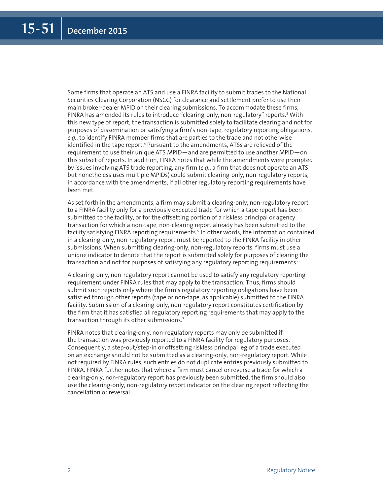Some firms that operate an ATS and use a FINRA facility to submit trades to the National Securities Clearing Corporation (NSCC) for clearance and settlement prefer to use their main broker-dealer MPID on their clearing submissions. To accommodate these firms, FINRA has amended its rules to introduce "clearing-only, non-regulatory" reports.<sup>3</sup> With this new type of report, the transaction is submitted solely to facilitate clearing and not for purposes of dissemination or satisfying a firm's non-tape, regulatory reporting obligations, *e.g.*, to identify FINRA member firms that are parties to the trade and not otherwise identified in the tape report.<sup>4</sup> Pursuant to the amendments, ATSs are relieved of the requirement to use their unique ATS MPID—and are permitted to use another MPID—on this subset of reports. In addition, FINRA notes that while the amendments were prompted by issues involving ATS trade reporting, any firm (*e.g.*, a firm that does not operate an ATS but nonetheless uses multiple MPIDs) could submit clearing-only, non-regulatory reports, in accordance with the amendments, if all other regulatory reporting requirements have been met.

As set forth in the amendments, a firm may submit a clearing-only, non-regulatory report to a FINRA facility only for a previously executed trade for which a tape report has been submitted to the facility, or for the offsetting portion of a riskless principal or agency transaction for which a non-tape, non-clearing report already has been submitted to the facility satisfying FINRA reporting requirements.<sup>5</sup> In other words, the information contained in a clearing-only, non-regulatory report must be reported to the FINRA facility in other submissions. When submitting clearing-only, non-regulatory reports, firms must use a unique indicator to denote that the report is submitted solely for purposes of clearing the transaction and not for purposes of satisfying any regulatory reporting requirements.6

A clearing-only, non-regulatory report cannot be used to satisfy any regulatory reporting requirement under FINRA rules that may apply to the transaction. Thus, firms should submit such reports only where the firm's regulatory reporting obligations have been satisfied through other reports (tape or non-tape, as applicable) submitted to the FINRA facility. Submission of a clearing-only, non-regulatory report constitutes certification by the firm that it has satisfied all regulatory reporting requirements that may apply to the transaction through its other submissions.7

FINRA notes that clearing-only, non-regulatory reports may only be submitted if the transaction was previously reported to a FINRA facility for regulatory purposes. Consequently, a step-out/step-in or offsetting riskless principal leg of a trade executed on an exchange should not be submitted as a clearing-only, non-regulatory report. While not required by FINRA rules, such entries do not duplicate entries previously submitted to FINRA. FINRA further notes that where a firm must cancel or reverse a trade for which a clearing-only, non-regulatory report has previously been submitted, the firm should also use the clearing-only, non-regulatory report indicator on the clearing report reflecting the cancellation or reversal.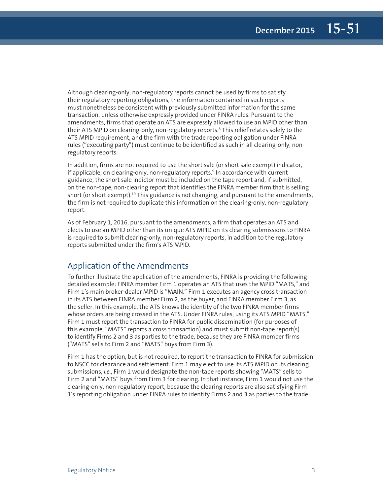Although clearing-only, non-regulatory reports cannot be used by firms to satisfy their regulatory reporting obligations, the information contained in such reports must nonetheless be consistent with previously submitted information for the same transaction, unless otherwise expressly provided under FINRA rules. Pursuant to the amendments, firms that operate an ATS are expressly allowed to use an MPID other than their ATS MPID on clearing-only, non-regulatory reports.8 This relief relates solely to the ATS MPID requirement, and the firm with the trade reporting obligation under FINRA rules ("executing party") must continue to be identified as such in all clearing-only, nonregulatory reports.

In addition, firms are not required to use the short sale (or short sale exempt) indicator, if applicable, on clearing-only, non-regulatory reports.<sup>9</sup> In accordance with current guidance, the short sale indictor must be included on the tape report and, if submitted, on the non-tape, non-clearing report that identifies the FINRA member firm that is selling short (or short exempt).<sup>10</sup> This guidance is not changing, and pursuant to the amendments, the firm is not required to duplicate this information on the clearing-only, non-regulatory report.

As of February 1, 2016, pursuant to the amendments, a firm that operates an ATS and elects to use an MPID other than its unique ATS MPID on its clearing submissions to FINRA is required to submit clearing-only, non-regulatory reports, in addition to the regulatory reports submitted under the firm's ATS MPID.

#### Application of the Amendments

To further illustrate the application of the amendments, FINRA is providing the following detailed example: FINRA member Firm 1 operates an ATS that uses the MPID "MATS," and Firm 1's main broker-dealer MPID is "MAIN." Firm 1 executes an agency cross transaction in its ATS between FINRA member Firm 2, as the buyer, and FINRA member Firm 3, as the seller. In this example, the ATS knows the identity of the two FINRA member firms whose orders are being crossed in the ATS. Under FINRA rules, using its ATS MPID "MATS," Firm 1 must report the transaction to FINRA for public dissemination (for purposes of this example, "MATS" reports a cross transaction) and must submit non-tape report(s) to identify Firms 2 and 3 as parties to the trade, because they are FINRA member firms ("MATS" sells to Firm 2 and "MATS" buys from Firm 3).

Firm 1 has the option, but is not required, to report the transaction to FINRA for submission to NSCC for clearance and settlement. Firm 1 may elect to use its ATS MPID on its clearing submissions, *i.e.*, Firm 1 would designate the non-tape reports showing "MATS" sells to Firm 2 and "MATS" buys from Firm 3 for clearing. In that instance, Firm 1 would not use the clearing-only, non-regulatory report, because the clearing reports are also satisfying Firm 1's reporting obligation under FINRA rules to identify Firms 2 and 3 as parties to the trade.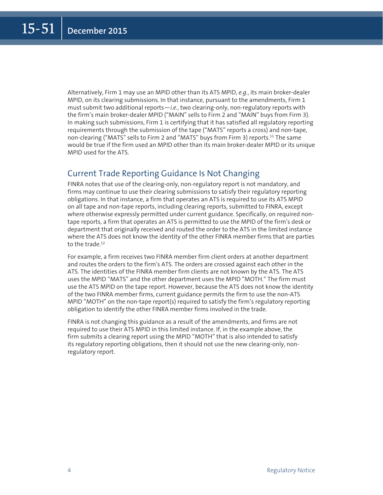Alternatively, Firm 1 may use an MPID other than its ATS MPID, *e.g.*, its main broker-dealer MPID, on its clearing submissions. In that instance, pursuant to the amendments, Firm 1 must submit two additional reports—*i.e.*, two clearing-only, non-regulatory reports with the firm's main broker-dealer MPID ("MAIN" sells to Firm 2 and "MAIN" buys from Firm 3). In making such submissions, Firm 1 is certifying that it has satisfied all regulatory reporting requirements through the submission of the tape ("MATS" reports a cross) and non-tape, non-clearing ("MATS" sells to Firm 2 and "MATS" buys from Firm 3) reports.<sup>11</sup> The same would be true if the firm used an MPID other than its main broker-dealer MPID or its unique MPID used for the ATS.

#### Current Trade Reporting Guidance Is Not Changing

FINRA notes that use of the clearing-only, non-regulatory report is not mandatory, and firms may continue to use their clearing submissions to satisfy their regulatory reporting obligations. In that instance, a firm that operates an ATS is required to use its ATS MPID on all tape and non-tape reports, including clearing reports, submitted to FINRA, except where otherwise expressly permitted under current guidance. Specifically, on required nontape reports, a firm that operates an ATS is permitted to use the MPID of the firm's desk or department that originally received and routed the order to the ATS in the limited instance where the ATS does not know the identity of the other FINRA member firms that are parties to the trade.<sup>12</sup>

For example, a firm receives two FINRA member firm client orders at another department and routes the orders to the firm's ATS. The orders are crossed against each other in the ATS. The identities of the FINRA member firm clients are not known by the ATS. The ATS uses the MPID "MATS" and the other department uses the MPID "MOTH." The firm must use the ATS MPID on the tape report. However, because the ATS does not know the identity of the two FINRA member firms, current guidance permits the firm to use the non-ATS MPID "MOTH" on the non-tape report(s) required to satisfy the firm's regulatory reporting obligation to identify the other FINRA member firms involved in the trade.

FINRA is not changing this guidance as a result of the amendments, and firms are not required to use their ATS MPID in this limited instance. If, in the example above, the firm submits a clearing report using the MPID "MOTH" that is also intended to satisfy its regulatory reporting obligations, then it should not use the new clearing-only, nonregulatory report.